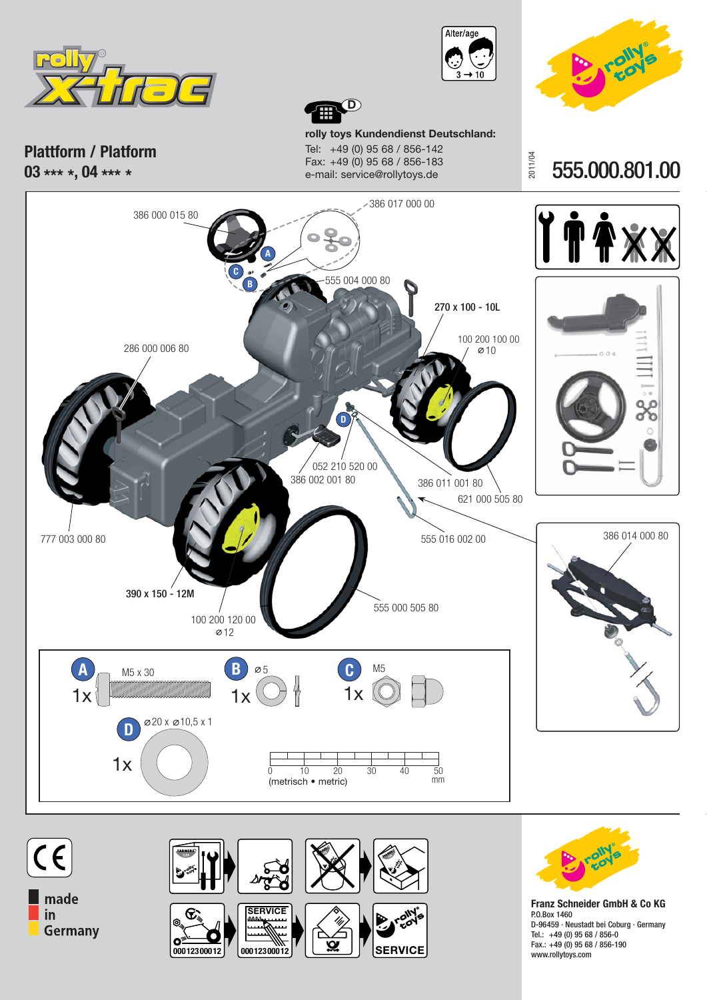





**Plattform / Platform 03 \*\*\* \*, 04 \*\*\* \***

**rolly toys Kundendienst Deutschland:** Tel: +49 (0) 95 68 / 856-142 Fax: +49 (0) 95 68 / 856-183 e-mail: service@rollytoys.de

**D**

2011/04 555.000.801.00







**Franz Schneider GmbH & Co KG** P.O.Box 1460 D-96 459 · Neustadt bei Coburg · Germany Tel.: +49 (0) 95 68 / 856-0 Fax.: +49 (0) 95 68 / 856-190 www.rollytoys.com